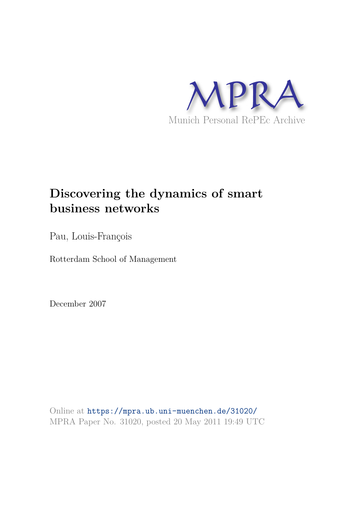

# **Discovering the dynamics of smart business networks**

Pau, Louis-François

Rotterdam School of Management

December 2007

Online at https://mpra.ub.uni-muenchen.de/31020/ MPRA Paper No. 31020, posted 20 May 2011 19:49 UTC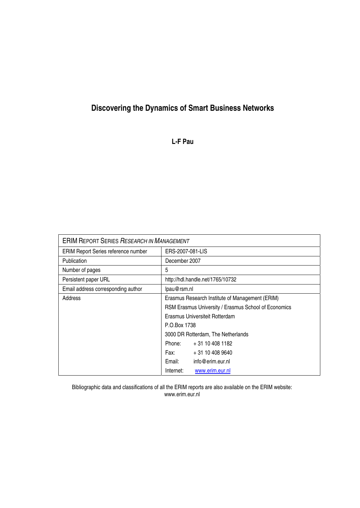## **Discovering the Dynamics of Smart Business Networks**

**L-F Pau** 

| <b>ERIM REPORT SERIES RESEARCH IN MANAGEMENT</b> |                                                      |                  |  |
|--------------------------------------------------|------------------------------------------------------|------------------|--|
| <b>ERIM Report Series reference number</b>       | ERS-2007-081-LIS                                     |                  |  |
| Publication                                      | December 2007                                        |                  |  |
| Number of pages                                  | 5                                                    |                  |  |
| Persistent paper URL                             | http://hdl.handle.net/1765/10732                     |                  |  |
| Email address corresponding author               | lpau@rsm.nl                                          |                  |  |
| Address                                          | Erasmus Research Institute of Management (ERIM)      |                  |  |
|                                                  | RSM Erasmus University / Erasmus School of Economics |                  |  |
|                                                  | Erasmus Universiteit Rotterdam                       |                  |  |
|                                                  | P.O.Box 1738                                         |                  |  |
|                                                  | 3000 DR Rotterdam, The Netherlands                   |                  |  |
|                                                  | Phone:                                               | + 31 10 408 1182 |  |
|                                                  | Fax: The Sea                                         | + 31 10 408 9640 |  |
|                                                  | Email:                                               | info@erim.eur.nl |  |
|                                                  | Internet:                                            | www.erim.eur.nl  |  |

Bibliographic data and classifications of all the ERIM reports are also available on the ERIM website: www.erim.eur.nl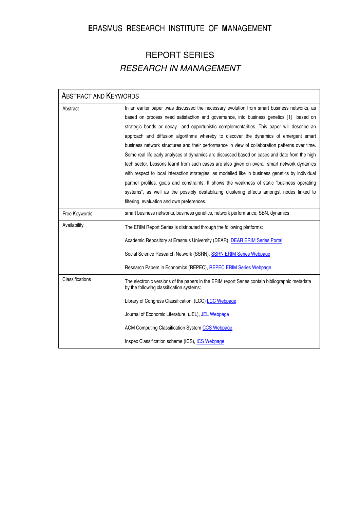## **E**RASMUS **R**ESEARCH **I**NSTITUTE OF **M**ANAGEMENT

## REPORT SERIES RESEARCH IN MANAGEMENT

| <b>ABSTRACT AND KEYWORDS</b> |                                                                                                                                                                                                                                                                                                                                                                                                                                                                                                                                                                                                                                                                                                                                                                                                                                                                                                                                                                                  |  |
|------------------------------|----------------------------------------------------------------------------------------------------------------------------------------------------------------------------------------------------------------------------------------------------------------------------------------------------------------------------------------------------------------------------------------------------------------------------------------------------------------------------------------------------------------------------------------------------------------------------------------------------------------------------------------------------------------------------------------------------------------------------------------------------------------------------------------------------------------------------------------------------------------------------------------------------------------------------------------------------------------------------------|--|
| Abstract                     | In an earlier paper, was discussed the necessary evolution from smart business networks, as<br>based on process need satisfaction and governance, into business genetics [1] based on<br>strategic bonds or decay and opportunistic complementarities. This paper will describe an<br>approach and diffusion algorithms whereby to discover the dynamics of emergent smart<br>business network structures and their performance in view of collaboration patterns over time.<br>Some real life early analyses of dynamics are discussed based on cases and date from the high<br>tech sector. Lessons learnt from such cases are also given on overall smart network dynamics<br>with respect to local interaction strategies, as modelled like in business genetics by individual<br>partner profiles, goals and constraints. It shows the weakness of static "business operating<br>systems", as well as the possibly destabilizing clustering effects amongst nodes linked to |  |
| Free Keywords                | filtering, evaluation and own preferences.<br>smart business networks, business genetics, network performance, SBN, dynamics                                                                                                                                                                                                                                                                                                                                                                                                                                                                                                                                                                                                                                                                                                                                                                                                                                                     |  |
| Availability                 |                                                                                                                                                                                                                                                                                                                                                                                                                                                                                                                                                                                                                                                                                                                                                                                                                                                                                                                                                                                  |  |
|                              | The ERIM Report Series is distributed through the following platforms:<br>Academic Repository at Erasmus University (DEAR), DEAR ERIM Series Portal<br>Social Science Research Network (SSRN), SSRN ERIM Series Webpage<br>Research Papers in Economics (REPEC), REPEC ERIM Series Webpage                                                                                                                                                                                                                                                                                                                                                                                                                                                                                                                                                                                                                                                                                       |  |
| Classifications              | The electronic versions of the papers in the ERIM report Series contain bibliographic metadata<br>by the following classification systems:<br>Library of Congress Classification, (LCC) LCC Webpage<br>Journal of Economic Literature, (JEL), JEL Webpage<br><b>ACM Computing Classification System CCS Webpage</b><br>Inspec Classification scheme (ICS), ICS Webpage                                                                                                                                                                                                                                                                                                                                                                                                                                                                                                                                                                                                           |  |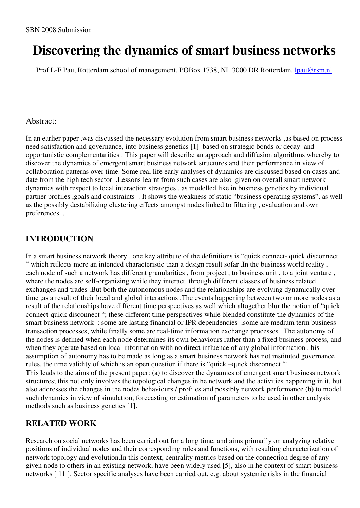# **Discovering the dynamics of smart business networks**

Prof L-F Pau, Rotterdam school of management, POBox 1738, NL 3000 DR Rotterdam, lpau@rsm.nl

#### Abstract:

In an earlier paper ,was discussed the necessary evolution from smart business networks ,as based on process need satisfaction and governance, into business genetics [1] based on strategic bonds or decay and opportunistic complementarities . This paper will describe an approach and diffusion algorithms whereby to discover the dynamics of emergent smart business network structures and their performance in view of collaboration patterns over time. Some real life early analyses of dynamics are discussed based on cases and date from the high tech sector .Lessons learnt from such cases are also given on overall smart network dynamics with respect to local interaction strategies , as modelled like in business genetics by individual partner profiles ,goals and constraints . It shows the weakness of static "business operating systems", as well as the possibly destabilizing clustering effects amongst nodes linked to filtering , evaluation and own preferences .

## **INTRODUCTION**

In a smart business network theory , one key attribute of the definitions is "quick connect- quick disconnect " which reflects more an intended characteristic than a design result sofar .In the business world reality , each node of such a network has different granularities , from project , to business unit , to a joint venture , where the nodes are self-organizing while they interact through different classes of business related exchanges and trades .But both the autonomous nodes and the relationships are evolving dynamically over time ,as a result of their local and global interactions .The events happening between two or more nodes as a result of the relationships have different time perspectives as well which altogether blur the notion of "quick connect-quick disconnect "; these different time perspectives while blended constitute the dynamics of the smart business network : some are lasting financial or IPR dependencies ,some are medium term business transaction processes, while finally some are real-time information exchange processes . The autonomy of the nodes is defined when each node determines its own behaviours rather than a fixed business process, and when they operate based on local information with no direct influence of any global information . his assumption of autonomy has to be made as long as a smart business network has not instituted governance rules, the time validity of which is an open question if there is "quick –quick disconnect "! This leads to the aims of the present paper: (a) to discover the dynamics of emergent smart business network structures; this not only involves the topological changes in he network and the activities happening in it, but also addresses the changes in the nodes behaviours / profiles and possibly network performance (b) to model such dynamics in view of simulation, forecasting or estimation of parameters to be used in other analysis methods such as business genetics [1].

## **RELATED WORK**

Research on social networks has been carried out for a long time, and aims primarily on analyzing relative positions of individual nodes and their corresponding roles and functions, with resulting characterization of network topology and evolution.In this context, centrality metrics based on the connection degree of any given node to others in an existing network, have been widely used [5], also in he context of smart business networks [ 11 ]. Sector specific analyses have been carried out, e.g. about systemic risks in the financial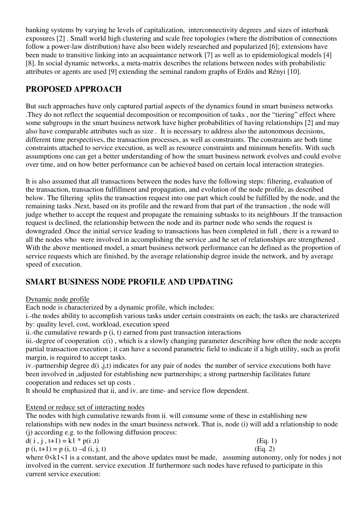banking systems by varying he levels of capitalization, interconnectivity degrees ,and sizes of interbank exposures [2] . Small world high clustering and scale free topologies (where the distribution of connections follow a power-law distribution) have also been widely researched and popularized [6]; extensions have been made to transitive linking into an acquaintance network [7] as well as to epidemiological models [4] [8]. In social dynamic networks, a meta-matrix describes the relations between nodes with probabilistic attributes or agents are used [9] extending the seminal random graphs of Erdös and Rényi [10].

## **PROPOSED APPROACH**

But such approaches have only captured partial aspects of the dynamics found in smart business networks .They do not reflect the sequential decomposition or recomposition of tasks , nor the "tiering" effect where some subgroups in the smart business network have higher probabilities of having relationships [2] and may also have comparable attributes such as size . It is necessary to address also the autonomous decisions, different time perspectives, the transaction processes, as well as constraints. The constraints are both time constraints attached to service execution, as well as resource constraints and minimum benefits. With such assumptions one can get a better understanding of how the smart business network evolves and could evolve over time, and on how better performance can be achieved based on certain local interaction strategies.

It is also assumed that all transactions between the nodes have the following steps: filtering, evaluation of the transaction, transaction fulfillment and propagation, and evolution of the node profile, as described below. The filtering splits the transaction request into one part which could be fulfilled by the node, and the remaining tasks .Next, based on its profile and the reward from that part of the transaction , the node will judge whether to accept the request and propagate the remaining subtasks to its neighbours .If the transaction request is declined, the relationship between the node and its partner node who sends the request is downgraded .Once the initial service leading to transactions has been completed in full , there is a reward to all the nodes who were involved in accomplishing the service ,and he set of relationships are strengthened . With the above mentioned model, a smart business network performance can be defined as the proportion of service requests which are finished, by the average relationship degree inside the network, and by average speed of execution.

## **SMART BUSINESS NODE PROFILE AND UPDATING**

#### Dynamic node profile

Each node is characterized by a dynamic profile, which includes:

i.-the nodes ability to accomplish various tasks under certain constraints on each; the tasks are characterized by: quality level, cost, workload, execution speed

ii.-the cumulative rewards  $p(i, t)$  earned from past transaction interactions

iii.-degree of cooperation c(i) , which is a slowly changing parameter describing how often the node accepts partial transaction execution ; it can have a second parametric field to indicate if a high utility, such as profit margin, is required to accept tasks.

iv.-partnership degree d(i ,j,t) indicates for any pair of nodes the number of service executions both have been involved in ,adjusted for establishing new partnerships; a strong partnership facilitates future cooperation and reduces set up costs .

It should be emphasized that ii, and iv. are time- and service flow dependent.

#### Extend or reduce set of interacting nodes

The nodes with high cumulative rewards from ii. will consume some of these in establishing new relationships with new nodes in the smart business network. That is, node (i) will add a relationship to node (j) according e.g. to the following diffusion process:

 $d(i, j, t+1) = k1 * p(i, t)$  (Eq. 1)

$$
p(i, t+1) = p(i, t) - d(i, j, t)
$$
 (Eq. 2)

where  $0 \le k1 \le 1$  is a constant, and the above updates must be made, assuming autonomy, only for nodes j not involved in the current. service execution .If furthermore such nodes have refused to participate in this current service execution: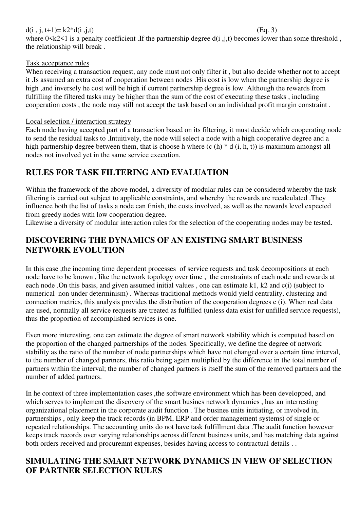#### $d(i, j, t+1)=k2*d(i, j, t)$  (Eq. 3)

where  $0 \le k2 \le 1$  is a penalty coefficient. If the partnership degree  $d(i, j, t)$  becomes lower than some threshold, the relationship will break .

### Task acceptance rules

When receiving a transaction request, any node must not only filter it , but also decide whether not to accept it .Is assumed an extra cost of cooperation between nodes .His cost is low when the partnership degree is high ,and inversely he cost will be high if current partnership degree is low .Although the rewards from fulfilling the filtered tasks may be higher than the sum of the cost of executing these tasks , including cooperation costs , the node may still not accept the task based on an individual profit margin constraint .

#### Local selection / interaction strategy

Each node having accepted part of a transaction based on its filtering, it must decide which cooperating node to send the residual tasks to .Intuitively, the node will select a node with a high cooperative degree and a high partnership degree between them, that is choose h where  $(c(h) * d(i, h, t))$  is maximum amongst all nodes not involved yet in the same service execution.

## **RULES FOR TASK FILTERING AND EVALUATION**

Within the framework of the above model, a diversity of modular rules can be considered whereby the task filtering is carried out subject to applicable constraints, and whereby the rewards are recalculated .They influence both the list of tasks a node can finish, the costs involved, as well as the rewards level expected from greedy nodes with low cooperation degree.

Likewise a diversity of modular interaction rules for the selection of the cooperating nodes may be tested.

## **DISCOVERING THE DYNAMICS OF AN EXISTING SMART BUSINESS NETWORK EVOLUTION**

In this case ,the incoming time dependent processes of service requests and task decompositions at each node have to be known , like the network topology over time , the constraints of each node and rewards at each node .On this basis, and given assumed initial values , one can estimate k1, k2 and c(i) (subject to numerical non under determinism) . Whereas traditional methods would yield centrality, clustering and connection metrics, this analysis provides the distribution of the cooperation degrees c (i). When real data are used, normally all service requests are treated as fulfilled (unless data exist for unfilled service requests), thus the proportion of accomplished services is one.

Even more interesting, one can estimate the degree of smart network stability which is computed based on the proportion of the changed partnerships of the nodes. Specifically, we define the degree of network stability as the ratio of the number of node partnerships which have not changed over a certain time interval, to the number of changed partners, this ratio being again multiplied by the difference in the total number of partners within the interval; the number of changed partners is itself the sum of the removed partners and the number of added partners.

In he context of three implementation cases ,the software environment which has been developped, and which serves to implement the discovery of the smart busines network dynamics , has an interresting organizational placement in the corporate audit function . The busines units initiating, or involved in, partnerships , only keep the track records (in BPM, ERP and order management systems) of single or repeated relationships. The accounting units do not have task fulfillment data .The audit function however keeps track records over varying relationships across different business units, and has matching data against both orders received and procuremnt expenses, besides having access to contractual details . .

## **SIMULATING THE SMART NETWORK DYNAMICS IN VIEW OF SELECTION OF PARTNER SELECTION RULES**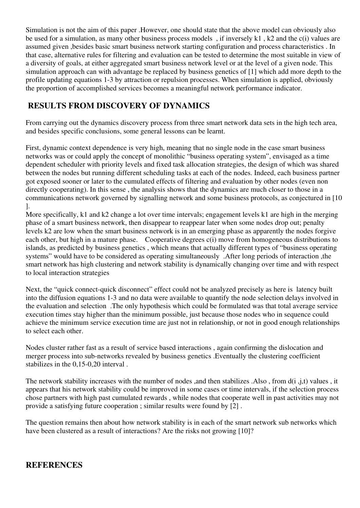Simulation is not the aim of this paper .However, one should state that the above model can obviously also be used for a simulation, as many other business process models , if inversely k1 , k2 and the c(i) values are assumed given ,besides basic smart business network starting configuration and process characteristics . In that case, alternative rules for filtering and evaluation can be tested to determine the most suitable in view of a diversity of goals, at either aggregated smart business network level or at the level of a given node. This simulation approach can with advantage be replaced by business genetics of [1] which add more depth to the profile updating equations 1-3 by attraction or repulsion processes. When simulation is applied, obviously the proportion of accomplished services becomes a meaningful network performance indicator.

## **RESULTS FROM DISCOVERY OF DYNAMICS**

From carrying out the dynamics discovery process from three smart network data sets in the high tech area, and besides specific conclusions, some general lessons can be learnt.

First, dynamic context dependence is very high, meaning that no single node in the case smart business networks was or could apply the concept of monolithic "business operating system", envisaged as a time dependent scheduler with priority levels and fixed task allocation strategies, the design of which was shared between the nodes but running different scheduling tasks at each of the nodes. Indeed, each business partner got exposed sooner or later to the cumulated effects of filtering and evaluation by other nodes (even non directly cooperating). In this sense , the analysis shows that the dynamics are much closer to those in a communications network governed by signalling network and some business protocols, as conjectured in [10 ].

More specifically, k1 and k2 change a lot over time intervals; engagement levels k1 are high in the merging phase of a smart business network, then disappear to reappear later when some nodes drop out; penalty levels k2 are low when the smart business network is in an emerging phase as apparently the nodes forgive each other, but high in a mature phase. Cooperative degrees c(i) move from homogeneous distributions to islands, as predicted by business genetics , which means that actually different types of "business operating systems" would have to be considered as operating simultaneously .After long periods of interaction ,the smart network has high clustering and network stability is dynamically changing over time and with respect to local interaction strategies

Next, the "quick connect-quick disconnect" effect could not be analyzed precisely as here is latency built into the diffusion equations 1-3 and no data were available to quantify the node selection delays involved in the evaluation and selection .The only hypothesis which could be formulated was that total average service execution times stay higher than the minimum possible, just because those nodes who in sequence could achieve the minimum service execution time are just not in relationship, or not in good enough relationships to select each other.

Nodes cluster rather fast as a result of service based interactions , again confirming the dislocation and merger process into sub-networks revealed by business genetics .Eventually the clustering coefficient stabilizes in the 0,15-0,20 interval .

The network stability increases with the number of nodes ,and then stabilizes .Also , from d(i ,j,t) values , it appears that his network stability could be improved in some cases or time intervals, if the selection process chose partners with high past cumulated rewards , while nodes that cooperate well in past activities may not provide a satisfying future cooperation ; similar results were found by [2] .

The question remains then about how network stability is in each of the smart network sub networks which have been clustered as a result of interactions? Are the risks not growing [10]?

### **REFERENCES**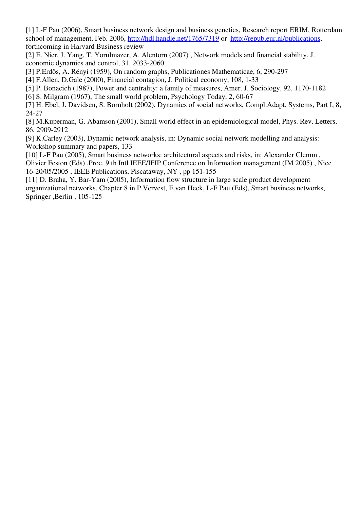[1] L-F Pau (2006), Smart business network design and business genetics, Research report ERIM, Rotterdam school of management, Feb. 2006, http://hdl.handle.net/1765/7319 or http://repub.eur.nl/publications, forthcoming in Harvard Business review

[2] E. Nier, J. Yang, T. Yorulmazer, A. Alentorn (2007) , Network models and financial stability, J. economic dynamics and control, 31, 2033-2060

[3] P.Erdös, A. Rényi (1959), On random graphs, Publicationes Mathematicae, 6, 290-297

[4] F.Allen, D.Gale (2000), Financial contagion, J. Political economy, 108, 1-33

[5] P. Bonacich (1987), Power and centrality: a family of measures, Amer. J. Sociology, 92, 1170-1182

[6] S. Milgram (1967), The small world problem, Psychology Today, 2, 60-67

[7] H. Ebel, J. Davidsen, S. Bornholt (2002), Dynamics of social networks, Compl.Adapt. Systems, Part I, 8, 24-27

[8] M.Kuperman, G. Abamson (2001), Small world effect in an epidemiological model, Phys. Rev. Letters, 86, 2909-2912

[9] K.Carley (2003), Dynamic network analysis, in: Dynamic social network modelling and analysis: Workshop summary and papers, 133

[10] L-F Pau (2005), Smart business networks: architectural aspects and risks, in: Alexander Clemm , Olivier Feston (Eds) ,Proc. 9 th Intl IEEE/IFIP Conference on Information management (IM 2005) , Nice 16-20/05/2005 , IEEE Publications, Piscataway, NY , pp 151-155

[11] D. Braha, Y. Bar-Yam (2005), Information flow structure in large scale product development organizational networks, Chapter 8 in P Vervest, E.van Heck, L-F Pau (Eds), Smart business networks, Springer ,Berlin , 105-125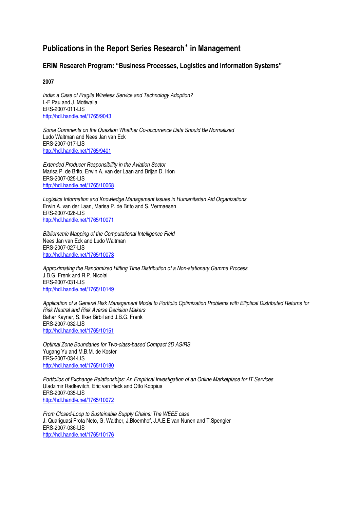## **Publications in the Report Series Research**<sup>∗</sup>  **in Management**

#### **ERIM Research Program: "Business Processes, Logistics and Information Systems"**

**2007** 

India: a Case of Fragile Wireless Service and Technology Adoption? L-F Pau and J. Motiwalla ERS-2007-011-LIS http://hdl.handle.net/1765/9043

Some Comments on the Question Whether Co-occurrence Data Should Be Normalized Ludo Waltman and Nees Jan van Eck ERS-2007-017-LIS http://hdl.handle.net/1765/9401

Extended Producer Responsibility in the Aviation Sector Marisa P. de Brito, Erwin A. van der Laan and Brijan D. Irion ERS-2007-025-LIS http://hdl.handle.net/1765/10068

Logistics Information and Knowledge Management Issues in Humanitarian Aid Organizations Erwin A. van der Laan, Marisa P. de Brito and S. Vermaesen ERS-2007-026-LIS http://hdl.handle.net/1765/10071

Bibliometric Mapping of the Computational Intelligence Field Nees Jan van Eck and Ludo Waltman ERS-2007-027-LIS http://hdl.handle.net/1765/10073

Approximating the Randomized Hitting Time Distribution of a Non-stationary Gamma Process J.B.G. Frenk and R.P. Nicolai ERS-2007-031-LIS http://hdl.handle.net/1765/10149

Application of a General Risk Management Model to Portfolio Optimization Problems with Elliptical Distributed Returns for Risk Neutral and Risk Averse Decision Makers Bahar Kaynar, S. Ilker Birbil and J.B.G. Frenk ERS-2007-032-LIS http://hdl.handle.net/1765/10151

Optimal Zone Boundaries for Two-class-based Compact 3D AS/RS Yugang Yu and M.B.M. de Koster ERS-2007-034-LIS http://hdl.handle.net/1765/10180

Portfolios of Exchange Relationships: An Empirical Investigation of an Online Marketplace for IT Services Uladzimir Radkevitch, Eric van Heck and Otto Koppius ERS-2007-035-LIS http://hdl.handle.net/1765/10072

From Closed-Loop to Sustainable Supply Chains: The WEEE case J. Quariguasi Frota Neto, G. Walther, J.Bloemhof, J.A.E.E van Nunen and T.Spengler ERS-2007-036-LIS http://hdl.handle.net/1765/10176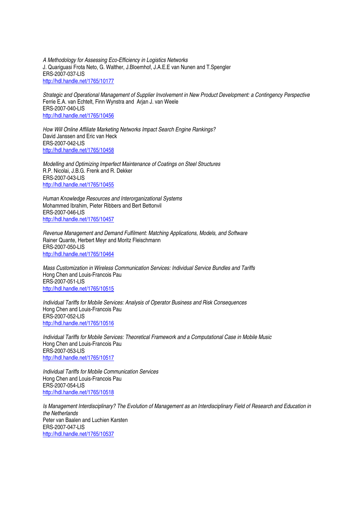A Methodology for Assessing Eco-Efficiency in Logistics Networks J. Quariguasi Frota Neto, G. Walther, J.Bloemhof, J.A.E.E van Nunen and T.Spengler ERS-2007-037-LIS http://hdl.handle.net/1765/10177

Strategic and Operational Management of Supplier Involvement in New Product Development: a Contingency Perspective Ferrie E.A. van Echtelt, Finn Wynstra and Arjan J. van Weele ERS-2007-040-LIS http://hdl.handle.net/1765/10456

How Will Online Affiliate Marketing Networks Impact Search Engine Rankings? David Janssen and Eric van Heck ERS-2007-042-LIS http://hdl.handle.net/1765/10458

Modelling and Optimizing Imperfect Maintenance of Coatings on Steel Structures R.P. Nicolai, J.B.G. Frenk and R. Dekker ERS-2007-043-LIS http://hdl.handle.net/1765/10455

Human Knowledge Resources and Interorganizational Systems Mohammed Ibrahim, Pieter Ribbers and Bert Bettonvil ERS-2007-046-LIS http://hdl.handle.net/1765/10457

Revenue Management and Demand Fulfilment: Matching Applications, Models, and Software Rainer Quante, Herbert Meyr and Moritz Fleischmann ERS-2007-050-LIS http://hdl.handle.net/1765/10464

Mass Customization in Wireless Communication Services: Individual Service Bundles and Tariffs Hong Chen and Louis-Francois Pau ERS-2007-051-LIS http://hdl.handle.net/1765/10515

Individual Tariffs for Mobile Services: Analysis of Operator Business and Risk Consequences Hong Chen and Louis-Francois Pau ERS-2007-052-LIS http://hdl.handle.net/1765/10516

Individual Tariffs for Mobile Services: Theoretical Framework and a Computational Case in Mobile Music Hong Chen and Louis-Francois Pau ERS-2007-053-LIS http://hdl.handle.net/1765/10517

Individual Tariffs for Mobile Communication Services Hong Chen and Louis-Francois Pau ERS-2007-054-LIS http://hdl.handle.net/1765/10518

Is Management Interdisciplinary? The Evolution of Management as an Interdisciplinary Field of Research and Education in the Netherlands Peter van Baalen and Luchien Karsten ERS-2007-047-LIS http://hdl.handle.net/1765/10537